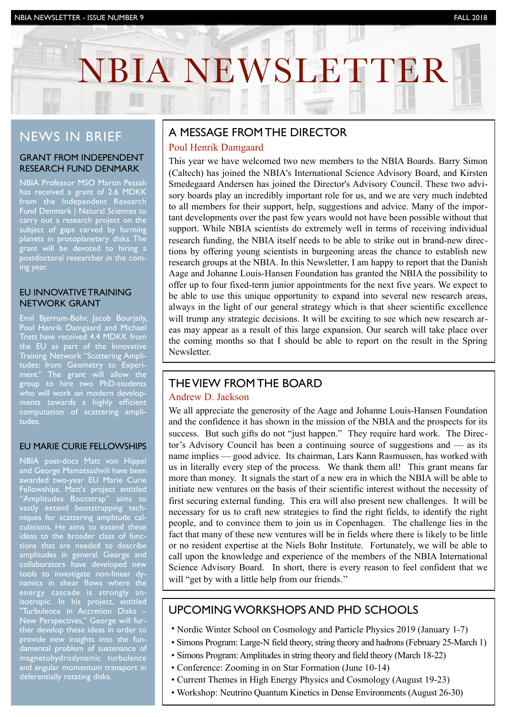# NBIA NEWSLETTER

# NEWS IN BRIEF

#### GRANT FROM INDEPENDENT RESEARCH FUND DENMARK

NBIA Professor MSO Martin Pessah has received a grant of 2.6 MDKK from the Independent Research Fund Denmark | Natural Sciences to carry out a research project on the subject of gaps carved by forming planets in protoplanetary disks. The grant will be devoted to hiring a postdoctoral researcher in the coming year.

#### EU INNOVATIVE TRAINING NETWORK GRANT

Emil Bjerrum-Bohr, Jacob Bourjaily, Poul Henrik Damgaard and Michael Trott have received 4.4 MDKK from the EU as part of the Innovative Training Network "Scattering Amplitudes: from Geometry to Experiment." The grant will allow the group to hire two PhD-students who will work on modern developments towards a highly efficient computation of scattering amplitudes.

#### EU MARIE CURIE FELLOWSHIPS

NBIA post-docs Matt von Hippel and George Mamatsashvili have been awarded two-year EU Marie Curie Fellowships. Matt's project entitled "Amplitudes Bootstrap" aims to vastly extend bootstrapping techniques for scattering amplitude calculations. He aims to extend these ideas to the broader class of functions that are needed to describe amplitudes in general. George and collaborators have developed new tools to investigate non-linear dynamics in shear flows where the energy cascade is strongly anisotropic. In his project, entitled "Turbulence in Accretion Disks – New Perspectives," George will further develop these ideas in order to provide new insights into the fundamental problem of sustenance of magnetohydrodynamic turbulence and angular momentum transport in deferentially rotating disks.

## A MESSAGE FROM THE DIRECTOR

#### Poul Henrik Damgaard

This year we have welcomed two new members to the NBIA Boards. Barry Simon (Caltech) has joined the NBIA's International Science Advisory Board, and Kirsten Smedegaard Andersen has joined the Director's Advisory Council. These two advisory boards play an incredibly important role for us, and we are very much indebted to all members for their support, help, suggestions and advice. Many of the important developments over the past few years would not have been possible without that support. While NBIA scientists do extremely well in terms of receiving individual research funding, the NBIA itself needs to be able to strike out in brand-new directions by offering young scientists in burgeoning areas the chance to establish new research groups at the NBIA. In this Newsletter, I am happy to report that the Danish Aage and Johanne Louis-Hansen Foundation has granted the NBIA the possibility to offer up to four fixed-term junior appointments for the next five years. We expect to be able to use this unique opportunity to expand into several new research areas, always in the light of our general strategy which is that sheer scientific excellence will trump any strategic decisions. It will be exciting to see which new research areas may appear as a result of this large expansion. Our search will take place over the coming months so that I should be able to report on the result in the Spring **Newsletter** 

## THE VIEW FROM THE BOARD

#### Andrew D. Jackson

We all appreciate the generosity of the Aage and Johanne Louis-Hansen Foundation and the confidence it has shown in the mission of the NBIA and the prospects for its success. But such gifts do not "just happen." They require hard work. The Director's Advisory Council has been a continuing source of suggestions and –– as its name implies –– good advice. Its chairman, Lars Kann Rasmussen, has worked with us in literally every step of the process. We thank them all! This grant means far more than money. It signals the start of a new era in which the NBIA will be able to initiate new ventures on the basis of their scientific interest without the necessity of first securing external funding. This era will also present new challenges. It will be necessary for us to craft new strategies to find the right fields, to identify the right people, and to convince them to join us in Copenhagen. The challenge lies in the fact that many of these new ventures will be in fields where there is likely to be little or no resident expertise at the Niels Bohr Institute. Fortunately, we will be able to call upon the knowledge and experience of the members of the NBIA International Science Advisory Board. In short, there is every reason to feel confident that we will "get by with a little help from our friends."

## UPCOMING WORKSHOPS AND PHD SCHOOLS

- Nordic Winter School on Cosmology and Particle Physics 2019 (January 1-7)
- Simons Program: Large-N field theory, string theory and hadrons (February 25-March 1)
- Simons Program: Amplitudes in string theory and field theory (March 18-22)
	- Conference: Zooming in on Star Formation (June 10-14)
	- Current Themes in High Energy Physics and Cosmology (August 19-23)
	- Workshop: Neutrino Quantum Kinetics in Dense Environments (August 26-30)